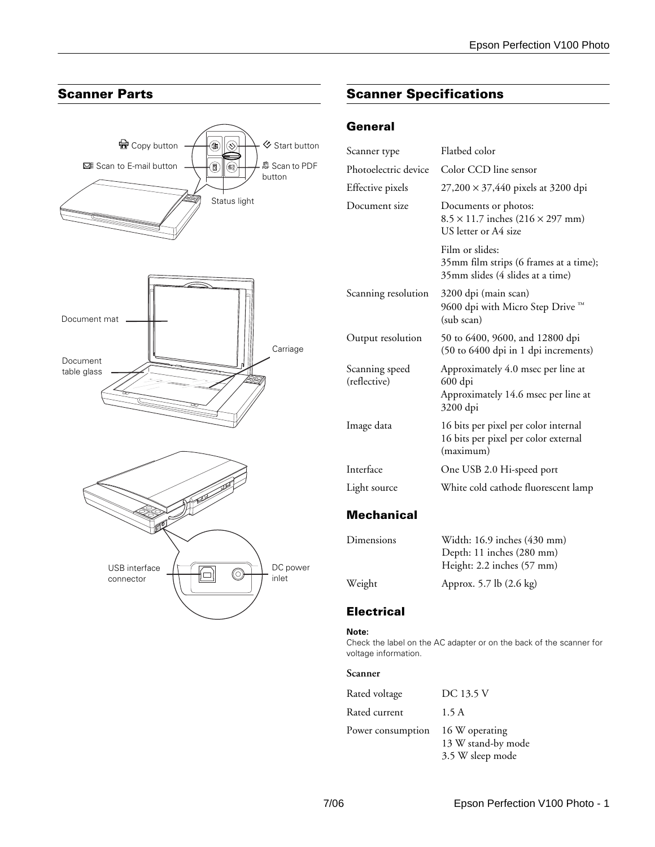

# **Scanner Parts Scanner Specifications**

# **General**

| Scanner type                   | Flatbed color                                                                                    |
|--------------------------------|--------------------------------------------------------------------------------------------------|
| Photoelectric device           | Color CCD line sensor                                                                            |
| Effective pixels               | $27,200 \times 37,440$ pixels at 3200 dpi                                                        |
| Document size                  | Documents or photos:<br>$8.5 \times 11.7$ inches $(216 \times 297$ mm)<br>US letter or A4 size   |
|                                | Film or slides:<br>35mm film strips (6 frames at a time);<br>35mm slides (4 slides at a time)    |
| Scanning resolution            | 3200 dpi (main scan)<br>9600 dpi with Micro Step Drive ™<br>(sub scan)                           |
| Output resolution              | 50 to 6400, 9600, and 12800 dpi<br>(50 to 6400 dpi in 1 dpi increments)                          |
| Scanning speed<br>(reflective) | Approximately 4.0 msec per line at<br>600 dpi<br>Approximately 14.6 msec per line at<br>3200 dpi |
| Image data                     | 16 bits per pixel per color internal<br>16 bits per pixel per color external<br>(maximum)        |
| Interface                      | One USB 2.0 Hi-speed port                                                                        |
| Light source                   | White cold cathode fluorescent lamp                                                              |

## **Mechanical**

| Dimensions | Width: 16.9 inches (430 mm) |
|------------|-----------------------------|
|            | Depth: 11 inches (280 mm)   |
|            | Height: 2.2 inches (57 mm)  |
| Weight     | Approx. 5.7 lb (2.6 kg)     |

### **Electrical**

#### **Note:**

Check the label on the AC adapter or on the back of the scanner for voltage information.

#### **Scanner**

| Rated voltage     | DC 13.5 V                                                |
|-------------------|----------------------------------------------------------|
| Rated current     | 1.5 A                                                    |
| Power consumption | 16 W operating<br>13 W stand-by mode<br>3.5 W sleep mode |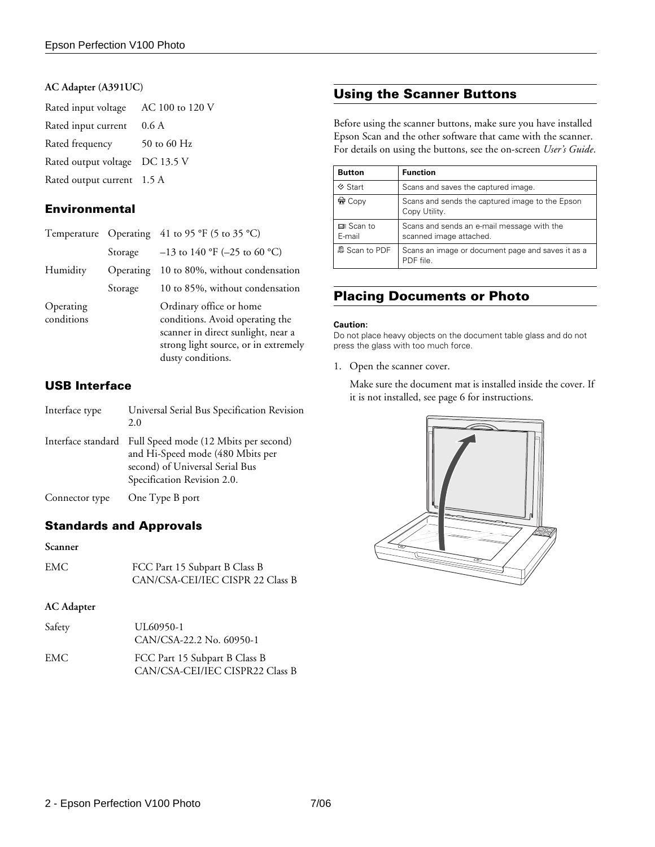#### **AC Adapter (A391UC)**

| Rated input voltage AC 100 to 120 V |               |
|-------------------------------------|---------------|
| Rated input current                 | 0.6 A         |
| Rated frequency                     | 50 to 60 $Hz$ |
| Rated output voltage DC 13.5 V      |               |
| Rated output current 1.5 A          |               |
|                                     |               |

## **Environmental**

|                         |           | Temperature Operating 41 to 95 °F (5 to 35 °C)                                                                                           |
|-------------------------|-----------|------------------------------------------------------------------------------------------------------------------------------------------|
|                         | Storage   | $-13$ to 140 °F (-25 to 60 °C)                                                                                                           |
| Humidity                | Operating | 10 to 80%, without condensation                                                                                                          |
|                         | Storage   | 10 to 85%, without condensation                                                                                                          |
| Operating<br>conditions |           | Ordinary office or home<br>conditions. Avoid operating the<br>scanner in direct sunlight, near a<br>strong light source, or in extremely |

dusty conditions.

## **USB Interface**

| Interface type | Universal Serial Bus Specification Revision<br>2.0                                                                                                             |
|----------------|----------------------------------------------------------------------------------------------------------------------------------------------------------------|
|                | Interface standard Full Speed mode (12 Mbits per second)<br>and Hi-Speed mode (480 Mbits per<br>second) of Universal Serial Bus<br>Specification Revision 2.0. |
| Connector type | One Type B port                                                                                                                                                |

### **Standards and Approvals**

#### **Scanner**

| EMC | FCC Part 15 Subpart B Class B    |
|-----|----------------------------------|
|     | CAN/CSA-CEI/IEC CISPR 22 Class B |

#### **AC Adapter**

| Safety | UL60950-1<br>CAN/CSA-22.2 No. 60950-1                            |
|--------|------------------------------------------------------------------|
| EMC.   | FCC Part 15 Subpart B Class B<br>CAN/CSA-CEI/IEC CISPR22 Class B |

## **Using the Scanner Buttons**

Before using the scanner buttons, make sure you have installed Epson Scan and the other software that came with the scanner. For details on using the buttons, see the on-screen *User's Guide*.

| <b>Button</b>        | <b>Function</b>                                                       |
|----------------------|-----------------------------------------------------------------------|
| <b>♦ Start</b>       | Scans and saves the captured image.                                   |
| <b>命</b> Copy        | Scans and sends the captured image to the Epson<br>Copy Utility.      |
| ⊠≣ Scan to<br>E-mail | Scans and sends an e-mail message with the<br>scanned image attached. |
| 鼎 Scan to PDF        | Scans an image or document page and saves it as a<br>PDF file         |

## **Placing Documents or Photo**

#### **Caution:**

Do not place heavy objects on the document table glass and do not press the glass with too much force.

1. Open the scanner cover.

Make sure the document mat is installed inside the cover. If it is not installed, see page 6 for instructions.

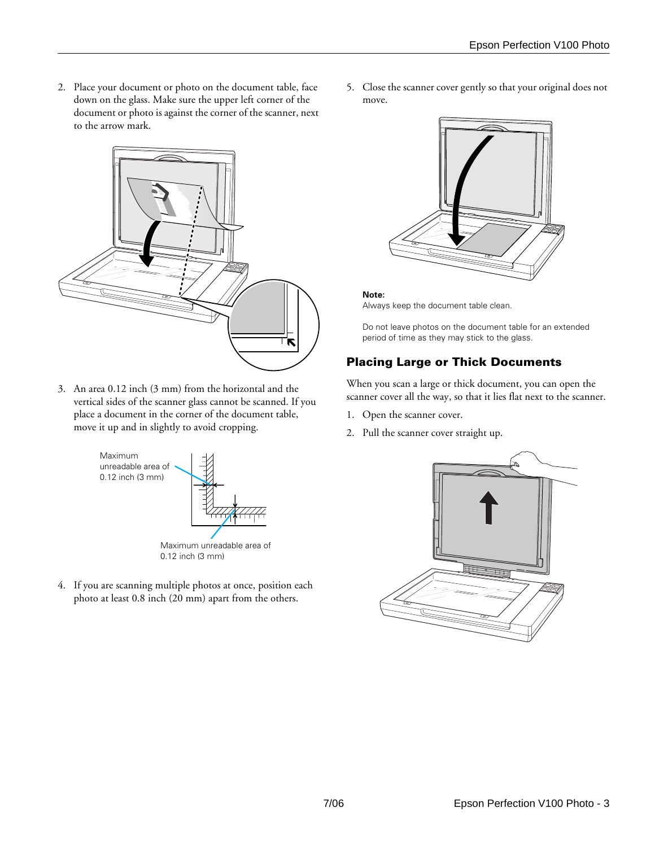2. Place your document or photo on the document table, face down on the glass. Make sure the upper left corner of the document or photo is against the corner of the scanner, next to the arrow mark.



3. An area 0.12 inch (3 mm) from the horizontal and the vertical sides of the scanner glass cannot be scanned. If you place a document in the corner of the document table, move it up and in slightly to avoid cropping.



4. If you are scanning multiple photos at once, position each photo at least 0.8 inch (20 mm) apart from the others.

5. Close the scanner cover gently so that your original does not move.



#### **Note:**

Always keep the document table clean.

Do not leave photos on the document table for an extended period of time as they may stick to the glass.

# **Placing Large or Thick Documents**

When you scan a large or thick document, you can open the scanner cover all the way, so that it lies flat next to the scanner.

- 1. Open the scanner cover.
- 2. Pull the scanner cover straight up.

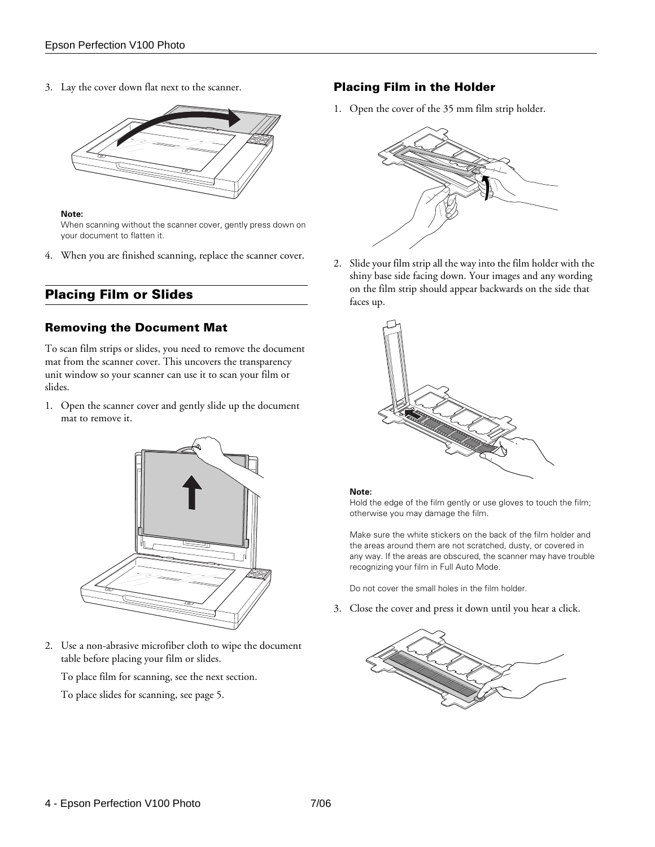3. Lay the cover down flat next to the scanner.



#### **Note:**

When scanning without the scanner cover, gently press down on your document to flatten it.

4. When you are finished scanning, replace the scanner cover.

## **Placing Film or Slides**

#### **Removing the Document Mat**

To scan film strips or slides, you need to remove the document mat from the scanner cover. This uncovers the transparency unit window so your scanner can use it to scan your film or slides.

1. Open the scanner cover and gently slide up the document mat to remove it.



2. Use a non-abrasive microfiber cloth to wipe the document table before placing your film or slides.

To place film for scanning, see the next section.

To place slides for scanning, see page 5.

#### **Placing Film in the Holder**

1. Open the cover of the 35 mm film strip holder.



2. Slide your film strip all the way into the film holder with the shiny base side facing down. Your images and any wording on the film strip should appear backwards on the side that faces up.



#### **Note:**

Hold the edge of the film gently or use gloves to touch the film; otherwise you may damage the film.

Make sure the white stickers on the back of the film holder and the areas around them are not scratched, dusty, or covered in any way. If the areas are obscured, the scanner may have trouble recognizing your film in Full Auto Mode.

Do not cover the small holes in the film holder.

3. Close the cover and press it down until you hear a click.

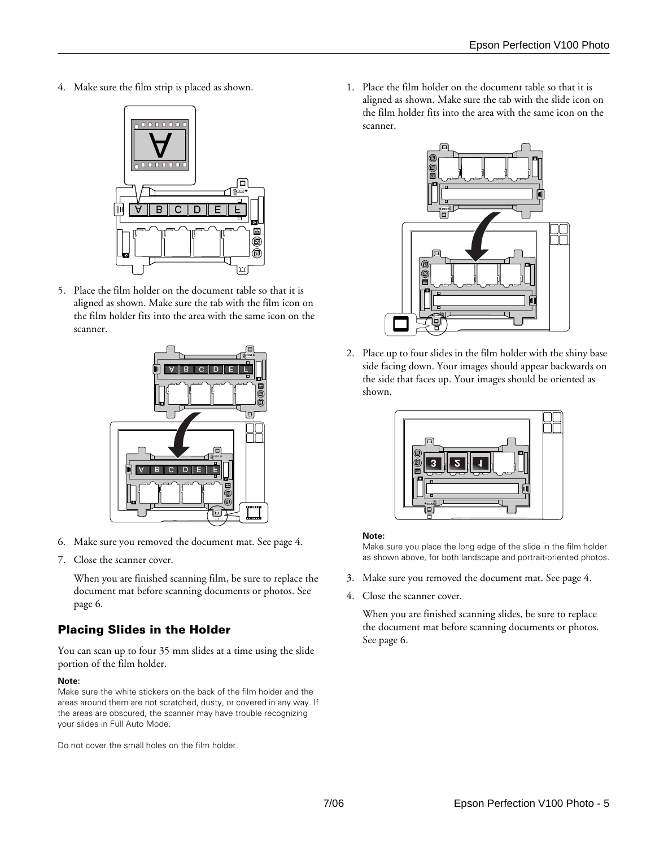4. Make sure the film strip is placed as shown.



5. Place the film holder on the document table so that it is aligned as shown. Make sure the tab with the film icon on the film holder fits into the area with the same icon on the scanner.



- 6. Make sure you removed the document mat. See page 4.
- 7. Close the scanner cover.

When you are finished scanning film, be sure to replace the document mat before scanning documents or photos. See page 6.

# **Placing Slides in the Holder**

You can scan up to four 35 mm slides at a time using the slide portion of the film holder.

#### **Note:**

Make sure the white stickers on the back of the film holder and the areas around them are not scratched, dusty, or covered in any way. If the areas are obscured, the scanner may have trouble recognizing your slides in Full Auto Mode.

Do not cover the small holes on the film holder.

1. Place the film holder on the document table so that it is aligned as shown. Make sure the tab with the slide icon on the film holder fits into the area with the same icon on the scanner.



2. Place up to four slides in the film holder with the shiny base side facing down. Your images should appear backwards on the side that faces up. Your images should be oriented as shown.



#### **Note:**

Make sure you place the long edge of the slide in the film holder as shown above, for both landscape and portrait-oriented photos.

- 3. Make sure you removed the document mat. See page 4.
- 4. Close the scanner cover.

When you are finished scanning slides, be sure to replace the document mat before scanning documents or photos. See page 6.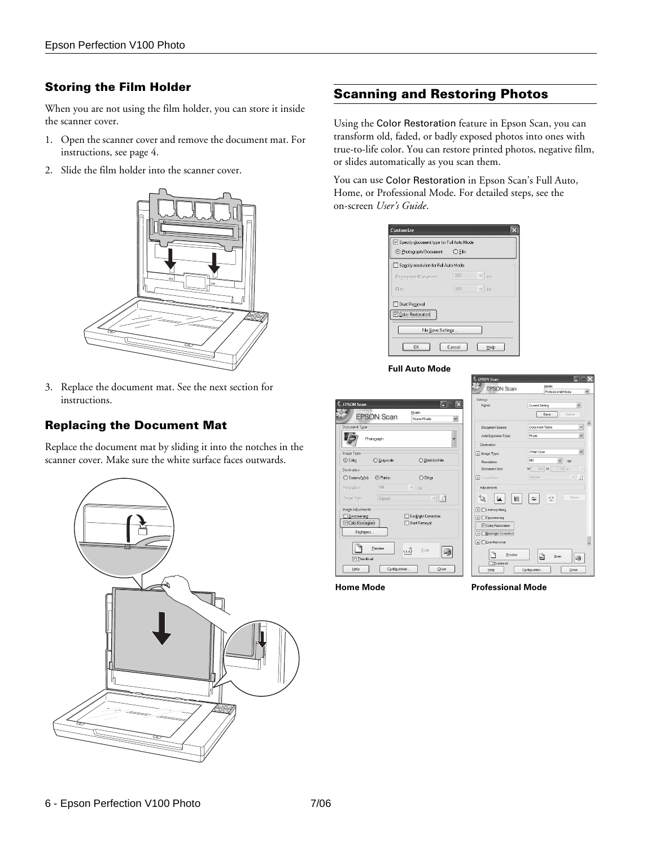## **Storing the Film Holder**

When you are not using the film holder, you can store it inside the scanner cover.

- 1. Open the scanner cover and remove the document mat. For instructions, see page 4.
- 2. Slide the film holder into the scanner cover.



3. Replace the document mat. See the next section for instructions.

## **Replacing the Document Mat**

Replace the document mat by sliding it into the notches in the scanner cover. Make sure the white surface faces outwards.



# **Scanning and Restoring Photos**

Using the Color Restoration feature in Epson Scan, you can transform old, faded, or badly exposed photos into ones with true-to-life color. You can restore printed photos, negative film, or slides automatically as you scan them.

You can use Color Restoration in Epson Scan's Full Auto, Home, or Professional Mode. For detailed steps, see the on-screen *User's Guide*.

|                                       |                      | Specify document type for Full Auto Mode |  |  |  |
|---------------------------------------|----------------------|------------------------------------------|--|--|--|
| ⊙ Photograph/Document                 | $\bigcirc$ Film      |                                          |  |  |  |
| Specify resolution for Full Auto Mode |                      |                                          |  |  |  |
| Photograph/Document:                  | 300<br>$\lor$<br>doi |                                          |  |  |  |
| Film                                  | 300<br>dpi           |                                          |  |  |  |
| Dust Removal                          |                      |                                          |  |  |  |
| Color Restoration                     |                      |                                          |  |  |  |
|                                       |                      |                                          |  |  |  |
| File Save Settings                    |                      |                                          |  |  |  |

#### **Full Auto Mode**



**Home Mode**  Professional Mode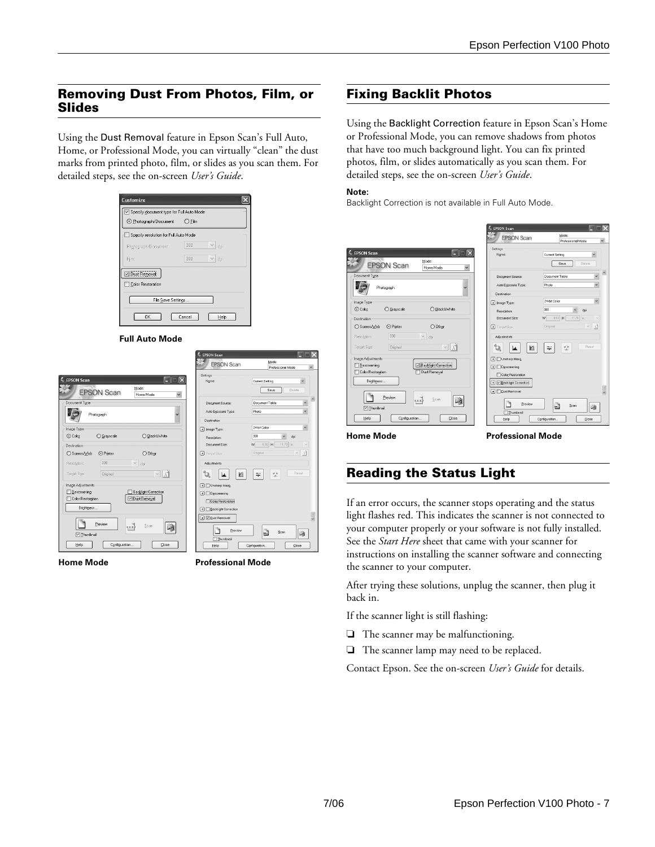## **Removing Dust From Photos, Film, or Slides**

Using the Dust Removal feature in Epson Scan's Full Auto, Home, or Professional Mode, you can virtually "clean" the dust marks from printed photo, film, or slides as you scan them. For detailed steps, see the on-screen *User's Guide*.



**Full Auto Mode**

|                                        |                                                                  | <b>E</b> EPSON Scan                |                                         |                     |
|----------------------------------------|------------------------------------------------------------------|------------------------------------|-----------------------------------------|---------------------|
|                                        |                                                                  | <b>EPSON Scan</b>                  | Mode:<br>Professional Mode              |                     |
| <b>FPSON Scan</b><br><b>EPSON Scan</b> | $\overline{\mathsf{x}}$<br>m<br>Mode:<br>$\check{}$<br>Home Mode | Setings<br>Name:                   | Current Setting<br>Delete<br>Save       |                     |
| Document Type                          |                                                                  | Document Source:                   | v<br>Document Table                     | $\hat{\phantom{a}}$ |
| Photograph                             | $\checkmark$                                                     | Auto Egposure Type:                | Photo                                   |                     |
|                                        |                                                                  | Destination                        |                                         |                     |
| Image Type                             |                                                                  | + Image Type:                      | 24-bit Color<br>ü                       |                     |
| ⊙ Color<br>O Grayscale                 | ○ Blacktlwhite                                                   | <b>Resolution:</b>                 | 300<br>dpi                              |                     |
| Destination                            |                                                                  | Document Size:                     | 8.50<br>$11.70$ in.<br>w<br>H<br>$\sim$ |                     |
| ○ Screen/Web<br>⊙ Printer              | O Other                                                          | Target Size:                       | 고<br>Original<br>$\backsim$             |                     |
| 300<br>Resolution:                     | $\lor$<br>doi                                                    | Adjustments                        |                                         |                     |
| Target Size:<br>Original               | M<br>$\lor$                                                      | ิษ<br>西                            | Reset<br>戀<br>睾                         |                     |
| Image Adjustments                      |                                                                  | + Unsharp Mask                     |                                         |                     |
| Descreening                            | Backlight Correction                                             | $\boxed{+}$ $\boxed{}$ Descreening |                                         |                     |
| Color Restoration                      | Dust Removal                                                     | Color Restoration                  |                                         |                     |
| Brightness                             |                                                                  | <b>Eacklight Correction</b>        |                                         |                     |
|                                        |                                                                  | + V Dust Removal                   |                                         |                     |
| Preview                                | Scan<br>m<br>sa d                                                |                                    |                                         |                     |
| □ Thumbnail                            |                                                                  | Preview                            | B<br>Scan<br>确                          |                     |
| Configuration<br>Help                  | Close                                                            | Thumbnail<br>Help                  | Configuration.<br>Close                 |                     |
|                                        |                                                                  |                                    |                                         |                     |

**Home Mode**  Professional Mode

# **Fixing Backlit Photos**

Using the Backlight Correction feature in Epson Scan's Home or Professional Mode, you can remove shadows from photos that have too much background light. You can fix printed photos, film, or slides automatically as you scan them. For detailed steps, see the on-screen *User's Guide*.

#### **Note:**

Backlight Correction is not available in Full Auto Mode.

|                                                         | – EPSON Scan                       | ▅▆▟                                                           |
|---------------------------------------------------------|------------------------------------|---------------------------------------------------------------|
|                                                         | <b>EPSON Scan</b>                  | Mode:<br>$\checkmark$<br>Professional Mode                    |
| ∝<br><b>EPSON Scan</b><br>E                             | Setings<br>Name:                   | Current Setting<br>$\check{}$                                 |
| Mode:<br><b>EPSON Scan</b><br>$\checkmark$<br>Home Mode |                                    | Delete<br>Save                                                |
| Document Type                                           | Document Source:                   | $\hat{\phantom{a}}$<br>$\ddot{\phantom{0}}$<br>Document Table |
| Photograph                                              | Auto Exposure Type:                | $\ddot{\phantom{0}}$<br>Photo                                 |
|                                                         | Destination                        |                                                               |
| Image Type                                              | + Image Type:                      | $\checkmark$<br>24-bit Color                                  |
| ○ Grayscale<br>○ Black&White<br>⊙ Color                 | <b>Resolution:</b>                 | 300<br>$\check{~}$<br>dpi                                     |
| Destination                                             | Document Size:                     | 8.50<br>W<br>H<br>$11.70$ in.<br>$\sim$                       |
| ⊙ Printer<br>$O$ Other<br>○ Screen/web                  | Target Size:                       | 五<br>Original<br>$\lor$                                       |
| 300<br>$\checkmark$<br>Resolution:<br>dpi               | Adjustments                        |                                                               |
| Original<br>$ V $ $ \Lambda $<br>Target Size:           | ิษ<br>и<br>لما                     | Reset<br>戀<br>÷                                               |
| Image Adjustments                                       | $\boxed{+}$ Unsharp Mask           |                                                               |
| Backlight Correction<br><b>Descreening</b>              | $\boxed{+}$ $\boxed{}$ Descreening |                                                               |
| Dust Removal<br>Color Restoration                       | Color Restoration                  |                                                               |
| Brightness                                              | + V Becklight Correction           |                                                               |
|                                                         | F Dust Removal                     | $\overline{\phantom{a}}$                                      |
| Preview<br>$\mathbf{u}$<br>Scan<br>响                    |                                    |                                                               |
| □ Thumbnail                                             | Preview                            | B<br>Scan<br>电                                                |
| Configuration<br>Help<br>Close                          | Thumbnail<br>Help                  |                                                               |
|                                                         |                                    | Configuration.<br>Close                                       |

# **Reading the Status Light**

If an error occurs, the scanner stops operating and the status light flashes red. This indicates the scanner is not connected to your computer properly or your software is not fully installed. See the *Start Here* sheet that came with your scanner for instructions on installing the scanner software and connecting the scanner to your computer.

After trying these solutions, unplug the scanner, then plug it back in.

If the scanner light is still flashing:

- ❏ The scanner may be malfunctioning.
- ❏ The scanner lamp may need to be replaced.

Contact Epson. See the on-screen *User's Guide* for details.